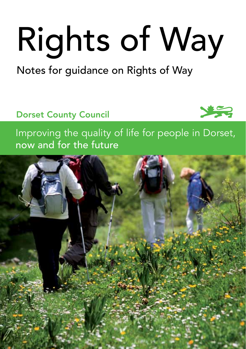# Rights of Way

## Notes for guidance on Rights of Way

## Dorset County Council



Improving the quality of life for people in Dorset, now and for the future

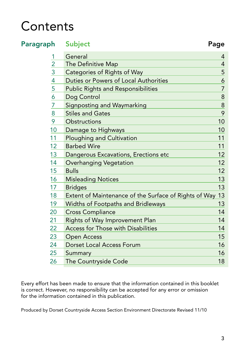# **Contents**

| Paragraph      | <b>Subject</b>                                        | Page           |
|----------------|-------------------------------------------------------|----------------|
| 1              | General                                               | 4              |
| $\overline{2}$ | The Definitive Map                                    | $\overline{4}$ |
| 3              | <b>Categories of Rights of Way</b>                    | 5              |
| $\overline{4}$ | Duties or Powers of Local Authorities                 | 6              |
| 5              | <b>Public Rights and Responsibilities</b>             | $\overline{7}$ |
| 6              | Dog Control                                           | $\,8\,$        |
| 7              | Signposting and Waymarking                            | 8              |
| 8              | <b>Stiles and Gates</b>                               | 9              |
| 9              | Obstructions                                          | 10             |
| 10             | Damage to Highways                                    | 10             |
| 11             | <b>Ploughing and Cultivation</b>                      | 11             |
| 12             | <b>Barbed Wire</b>                                    | 11             |
| 13             | Dangerous Excavations, Erections etc                  | 12             |
| 14             | Overhanging Vegetation                                | 12             |
| 15             | <b>Bulls</b>                                          | 12             |
| 16             | <b>Misleading Notices</b>                             | 13             |
| 17             | <b>Bridges</b>                                        | 13             |
| 18             | Extent of Maintenance of the Surface of Rights of Way | 13             |
| 19             | <b>Widths of Footpaths and Bridleways</b>             | 13             |
| 20             | <b>Cross Compliance</b>                               | 14             |
| 21             | Rights of Way Improvement Plan                        | 14             |
| 22             | Access for Those with Disabilities                    | 14             |
| 23             | <b>Open Access</b>                                    | 15             |
| 24             | <b>Dorset Local Access Forum</b>                      | 16             |
| 25             | Summary                                               | 16             |
| 26             | The Countryside Code                                  | 18             |
|                |                                                       |                |

Every effort has been made to ensure that the information contained in this booklet is correct. However, no responsibility can be accepted for any error or omission for the information contained in this publication.

 Produced by Dorset Countryside Access Section Environment Directorate Revised 11/10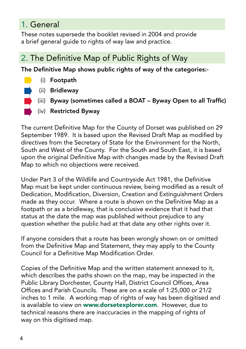## 1. General

These notes supersede the booklet revised in 2004 and provide a brief general guide to rights of way law and practice.

## 2. The Definitive Map of Public Rights of Way

The Definitive Map shows public rights of way of the categories:-

- (i) Footpath
	- (ii) Bridleway
- (iii) Byway (sometimes called a BOAT Byway Open to all Traffic)
- (iv) Restricted Byway

The current Definitive Map for the County of Dorset was published on 29 September 1989. It is based upon the Revised Draft Map as modified by directives from the Secretary of State for the Environment for the North, South and West of the County. For the South and South East, it is based upon the original Definitive Map with changes made by the Revised Draft Map to which no objections were received.

Under Part 3 of the Wildlife and Countryside Act 1981, the Definitive Map must be kept under continuous review, being modified as a result of Dedication, Modification, Diversion, Creation and Extinguishment Orders made as they occur. Where a route is shown on the Definitive Map as a footpath or as a bridleway, that is conclusive evidence that it had that status at the date the map was published without prejudice to any question whether the public had at that date any other rights over it.

If anyone considers that a route has been wrongly shown on or omitted from the Definitive Map and Statement, they may apply to the County Council for a Definitive Map Modification Order.

Copies of the Definitive Map and the written statement annexed to it, which describes the paths shown on the map, may be inspected in the Public Library Dorchester, County Hall, District Council Offices, Area Offices and Parish Councils. These are on a scale of 1:25,000 or 21/2 inches to 1 mile. A working map of rights of way has been digitised and is available to view on www.dorsetexplorer.com. However, due to technical reasons there are inaccuracies in the mapping of rights of way on this digitised map.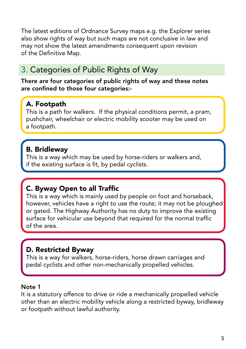The latest editions of Ordnance Survey maps e.g. the Explorer series also show rights of way but such maps are not conclusive in law and may not show the latest amendments consequent upon revision of the Definitive Map.

## 3. Categories of Public Rights of Way

There are four categories of public rights of way and these notes are confined to those four categories:-

#### A. Footpath

This is a path for walkers. If the physical conditions permit, a pram, pushchair, wheelchair or electric mobility scooter may be used on a footpath.

#### B. Bridleway

This is a way which may be used by horse-riders or walkers and, if the existing surface is fit, by pedal cyclists.

#### C. Byway Open to all Traffic

This is a way which is mainly used by people on foot and horseback, however, vehicles have a right to use the route; it may not be ploughed or gated. The Highway Authority has no duty to improve the existing surface for vehicular use bevond that required for the normal traffic of the area.

#### D. Restricted Byway

This is a way for walkers, horse-riders, horse drawn carriages and pedal cyclists and other non-mechanically propelled vehicles.

#### Note 1

It is a statutory offence to drive or ride a mechanically propelled vehicle other than an electric mobility vehicle along a restricted byway, bridleway or footpath without lawful authority.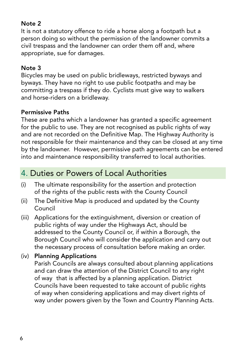#### Note 2

It is not a statutory offence to ride a horse along a footpath but a person doing so without the permission of the landowner commits a civil trespass and the landowner can order them off and, where appropriate, sue for damages.

#### Note 3

Bicycles may be used on public bridleways, restricted byways and byways. They have no right to use public footpaths and may be committing a trespass if they do. Cyclists must give way to walkers and horse-riders on a bridleway.

#### Permissive Paths

These are paths which a landowner has granted a specific agreement for the public to use. They are not recognised as public rights of way and are not recorded on the Definitive Map. The Highway Authority is not responsible for their maintenance and they can be closed at any time by the landowner. However, permissive path agreements can be entered into and maintenance responsibility transferred to local authorities.

## 4. Duties or Powers of Local Authorities

- (i) The ultimate responsibility for the assertion and protection of the rights of the public rests with the County Council
- (ii) The Definitive Map is produced and updated by the County Council
- (iii) Applications for the extinguishment, diversion or creation of public rights of way under the Highways Act, should be addressed to the County Council or, if within a Borough, the Borough Council who will consider the application and carry out the necessary process of consultation before making an order.
- (iv) Planning Applications

 Parish Councils are always consulted about planning applications and can draw the attention of the District Council to any right of way that is affected by a planning application. District Councils have been requested to take account of public rights of way when considering applications and may divert rights of way under powers given by the Town and Country Planning Acts.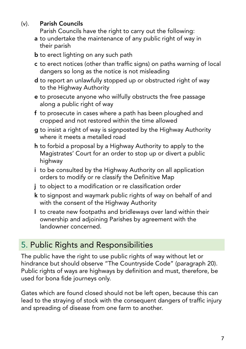#### (v). Parish Councils

 Parish Councils have the right to carry out the following:

- a to undertake the maintenance of any public right of way in their parish
- **b** to erect lighting on any such path
- c to erect notices (other than traffic signs) on paths warning of local dangers so long as the notice is not misleading
- d to report an unlawfully stopped up or obstructed right of way to the Highway Authority
- e to prosecute anyone who wilfully obstructs the free passage along a public right of way
- f to prosecute in cases where a path has been ploughed and cropped and not restored within the time allowed
- g to insist a right of way is signposted by the Highway Authority where it meets a metalled road
- h to forbid a proposal by a Highway Authority to apply to the Magistrates' Court for an order to stop up or divert a public highway
- i to be consulted by the Highway Authority on all application orders to modify or re classify the Definitive Map
- j to object to a modification or re classification order
- k to signpost and waymark public rights of way on behalf of and with the consent of the Highway Authority
- I to create new footpaths and bridleways over land within their ownership and adjoining Parishes by agreement with the landowner concerned.

## **5. Public Rights and Responsibilities**

The public have the right to use public rights of way without let or hindrance but should observe "The Countryside Code" (paragraph 20). Public rights of ways are highways by definition and must, therefore, be used for bona fide journeys only.

Gates which are found closed should not be left open, because this can lead to the straying of stock with the consequent dangers of traffic injury and spreading of disease from one farm to another.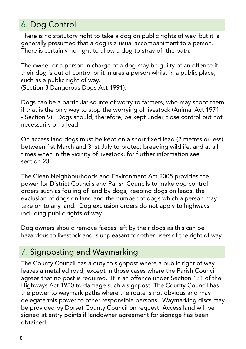## 6. Dog Control

There is no statutory right to take a dog on public rights of way, but it is generally presumed that a dog is a usual accompaniment to a person. There is certainly no right to allow a dog to stray off the path.

The owner or a person in charge of a dog may be guilty of an offence if their dog is out of control or it injures a person whilst in a public place, such as a public right of way.

(Section 3 Dangerous Dogs Act 1991).

Dogs can be a particular source of worry to farmers, who may shoot them if that is the only way to stop the worrying of livestock (Animal Act 1971 - Section 9). Dogs should, therefore, be kept under close control but not necessarily on a lead.

On access land dogs must be kept on a short fixed lead (2 metres or less) between 1st March and 31st July to protect breeding wildlife, and at all times when in the vicinity of livestock, for further information see section 23.

The Clean Neighbourhoods and Environment Act 2005 provides the power for District Councils and Parish Councils to make dog control orders such as fouling of land by dogs, keeping dogs on leads, the exclusion of dogs on land and the number of dogs which a person may take on to any land. Dog exclusion orders do not apply to highways including public rights of way.

Dog owners should remove faeces left by their dogs as this can be hazardous to livestock and is unpleasant for other users of the right of way.

## 7. Signposting and Waymarking

The County Council has a duty to signpost where a public right of way leaves a metalled road, except in those cases where the Parish Council agrees that no post is required. It is an offence under Section 131 of the Highways Act 1980 to damage such a signpost. The County Council has the power to waymark paths where the route is not obvious and may delegate this power to other responsible persons. Waymarking discs may be provided by Dorset County Council on request. Access land will be signed at entry points if landowner agreement for signage has been obtained.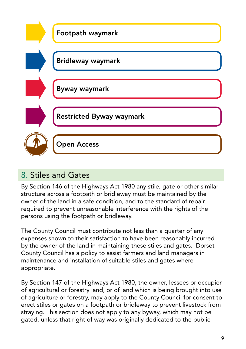

## 8. Stiles and Gates

By Section 146 of the Highways Act 1980 any stile, gate or other similar structure across a footpath or bridleway must be maintained by the owner of the land in a safe condition, and to the standard of repair required to prevent unreasonable interference with the rights of the persons using the footpath or bridleway.

The County Council must contribute not less than a quarter of any expenses shown to their satisfaction to have been reasonably incurred by the owner of the land in maintaining these stiles and gates. Dorset County Council has a policy to assist farmers and land managers in maintenance and installation of suitable stiles and gates where appropriate.

By Section 147 of the Highways Act 1980, the owner, lessees or occupier of agricultural or forestry land, or of land which is being brought into use of agriculture or forestry, may apply to the County Council for consent to erect stiles or gates on a footpath or bridleway to prevent livestock from straying. This section does not apply to any byway, which may not be gated, unless that right of way was originally dedicated to the public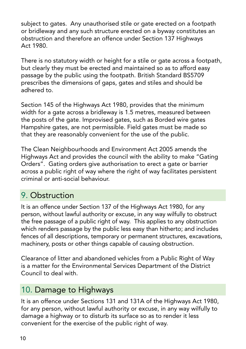subject to gates. Any unauthorised stile or gate erected on a footpath or bridleway and any such structure erected on a byway constitutes an obstruction and therefore an offence under Section 137 Highways Act 1980.

There is no statutory width or height for a stile or gate across a footpath, but clearly they must be erected and maintained so as to afford easy passage by the public using the footpath. British Standard BS5709 prescribes the dimensions of gaps, gates and stiles and should be adhered to.

Section 145 of the Highways Act 1980, provides that the minimum width for a gate across a bridleway is 1.5 metres, measured between the posts of the gate. Improvised gates, such as Borded wire gates Hampshire gates, are not permissible. Field gates must be made so that they are reasonably convenient for the use of the public.

The Clean Neighbourhoods and Environment Act 2005 amends the Highways Act and provides the council with the ability to make "Gating Orders". Gating orders give authorisation to erect a gate or barrier across a public right of way where the right of way facilitates persistent criminal or anti-social behaviour.

## 9. Obstruction

It is an offence under Section 137 of the Highways Act 1980, for any person, without lawful authority or excuse, in any way wilfully to obstruct the free passage of a public right of way. This applies to any obstruction which renders passage by the public less easy than hitherto; and includes fences of all descriptions, temporary or permanent structures, excavations, machinery, posts or other things capable of causing obstruction.

Clearance of litter and abandoned vehicles from a Public Right of Way is a matter for the Environmental Services Department of the District Council to deal with.

## 10. Damage to Highways

It is an offence under Sections 131 and 131A of the Highways Act 1980, for any person, without lawful authority or excuse, in any way wilfully to damage a highway or to disturb its surface so as to render it less convenient for the exercise of the public right of way.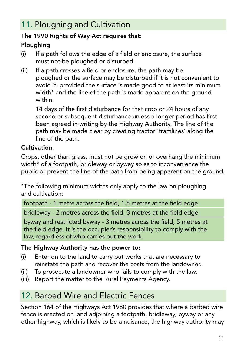## 11. Ploughing and Cultivation

#### The 1990 Rights of Way Act requires that:

#### Ploughing

- $(i)$  If a path follows the edge of a field or enclosure, the surface must not be ploughed or disturbed.
- (ii) If a path crosses a field or enclosure, the path may be ploughed or the surface may be disturbed if it is not convenient to avoid it, provided the surface is made good to at least its minimum width\* and the line of the path is made apparent on the ground within:

 14 days of the first disturbance for that crop or 24 hours of any second or subsequent disturbance unless a longer period has first been agreed in writing by the Highway Authority. The line of the path may be made clear by creating tractor 'tramlines' along the line of the path.

#### Cultivation.

Crops, other than grass, must not be grow on or overhang the minimum width\* of a footpath, bridleway or byway so as to inconvenience the public or prevent the line of the path from being apparent on the ground.

\*The following minimum widths only apply to the law on ploughing and cultivation:

footpath - 1 metre across the field, 1.5 metres at the field edge bridleway - 2 metres across the field, 3 metres at the field edge

byway and restricted byway - 3 metres across the field, 5 metres at the field edge. It is the occupier's responsibility to comply with the law, regardless of who carries out the work.

#### The Highway Authority has the power to:

- (i) Enter on to the land to carry out works that are necessary to reinstate the path and recover the costs from the landowner.
- (ii) To prosecute a landowner who fails to comply with the law.
- (iii) Report the matter to the Rural Payments Agency.

## 12. Barbed Wire and Electric Fences

Section 164 of the Highways Act 1980 provides that where a barbed wire fence is erected on land adjoining a footpath, bridleway, byway or any other highway, which is likely to be a nuisance, the highway authority may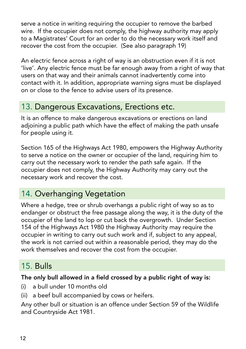serve a notice in writing requiring the occupier to remove the barbed wire. If the occupier does not comply, the highway authority may apply to a Magistrates' Court for an order to do the necessary work itself and recover the cost from the occupier. (See also paragraph 19)

An electric fence across a right of way is an obstruction even if it is not 'live'. Any electric fence must be far enough away from a right of way that users on that way and their animals cannot inadvertently come into contact with it. In addition, appropriate warning signs must be displayed on or close to the fence to advise users of its presence.

## 13. Dangerous Excavations, Erections etc.

It is an offence to make dangerous excavations or erections on land adjoining a public path which have the effect of making the path unsafe for people using it.

Section 165 of the Highways Act 1980, empowers the Highway Authority to serve a notice on the owner or occupier of the land, requiring him to carry out the necessary work to render the path safe again. If the occupier does not comply, the Highway Authority may carry out the necessary work and recover the cost.

## 14. Overhanging Vegetation

Where a hedge, tree or shrub overhangs a public right of way so as to endanger or obstruct the free passage along the way, it is the duty of the occupier of the land to lop or cut back the overgrowth. Under Section 154 of the Highways Act 1980 the Highway Authority may require the occupier in writing to carry out such work and if, subject to any appeal, the work is not carried out within a reasonable period, they may do the work themselves and recover the cost from the occupier.

## 15. Bulls

#### The only bull allowed in a field crossed by a public right of way is:

- $(i)$  a bull under 10 months old
- (ii) a beef bull accompanied by cows or heifers.

Any other bull or situation is an offence under Section 59 of the Wildlife and Countryside Act 1981.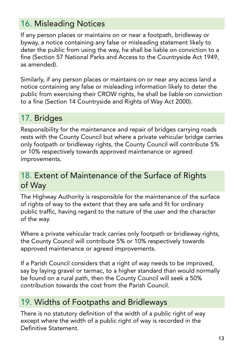## 16. Misleading Notices

If any person places or maintains on or near a footpath, bridleway or byway, a notice containing any false or misleading statement likely to deter the public from using the way, he shall be liable on conviction to a fine (Section 57 National Parks and Access to the Countryside Act 1949, as amended).

Similarly, if any person places or maintains on or near any access land a notice containing any false or misleading information likely to deter the public from exercising their CROW rights, he shall be liable on conviction to a fine (Section 14 Countryside and Rights of Way Act 2000).

## 17. Bridges

Responsibility for the maintenance and repair of bridges carrying roads rests with the County Council but where a private vehicular bridge carries only footpath or bridleway rights, the County Council will contribute 5% or 10% respectively towards approved maintenance or agreed improvements.

## 18. Extent of Maintenance of the Surface of Rights of Way

The Highway Authority is responsible for the maintenance of the surface of rights of way to the extent that they are safe and fit for ordinary public traffic, having regard to the nature of the user and the character of the way.

Where a private vehicular track carries only footpath or bridleway rights, the County Council will contribute 5% or 10% respectively towards approved maintenance or agreed improvements.

If a Parish Council considers that a right of way needs to be improved, say by laying gravel or tarmac, to a higher standard than would normally be found on a rural path, then the County Council will seek a 50% contribution towards the cost from the Parish Council.

## 19. Widths of Footpaths and Bridleways

There is no statutory definition of the width of a public right of way except where the width of a public right of way is recorded in the Definitive Statement.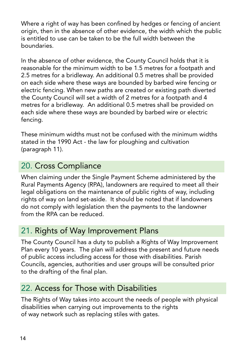Where a right of way has been confined by hedges or fencing of ancient origin, then in the absence of other evidence, the width which the public is entitled to use can be taken to be the full width between the boundaries.

In the absence of other evidence, the County Council holds that it is reasonable for the minimum width to be 1.5 metres for a footpath and 2.5 metres for a bridleway. An additional 0.5 metres shall be provided on each side where these ways are bounded by barbed wire fencing or electric fencing. When new paths are created or existing path diverted the County Council will set a width of 2 metres for a footpath and 4 metres for a bridleway. An additional 0.5 metres shall be provided on each side where these ways are bounded by barbed wire or electric fencing.

These minimum widths must not be confused with the minimum widths stated in the 1990 Act - the law for ploughing and cultivation (paragraph 11).

## 20. Cross Compliance

When claiming under the Single Payment Scheme administered by the Rural Payments Agency (RPA), landowners are required to meet all their legal obligations on the maintenance of public rights of way, including rights of way on land set-aside. It should be noted that if landowners do not comply with legislation then the payments to the landowner from the RPA can be reduced.

## 21. Rights of Way Improvement Plans

The County Council has a duty to publish a Rights of Way Improvement Plan every 10 years. The plan will address the present and future needs of public access including access for those with disabilities. Parish Councils, agencies, authorities and user groups will be consulted prior to the drafting of the final plan.

## 22. Access for Those with Disabilities

The Rights of Way takes into account the needs of people with physical disabilities when carrying out improvements to the rights of way network such as replacing stiles with gates.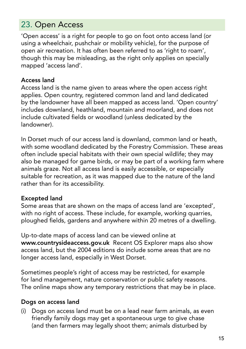## 23. Open Access

'Open access' is a right for people to go on foot onto access land (or using a wheelchair, pushchair or mobility vehicle), for the purpose of open air recreation. It has often been referred to as 'right to roam', though this may be misleading, as the right only applies on specially mapped 'access land'.

#### Access land

Access land is the name given to areas where the open access right applies. Open country, registered common land and land dedicated by the landowner have all been mapped as access land. 'Open country' includes downland, heathland, mountain and moorland, and does not include cultivated fields or woodland (unless dedicated by the landowner).

In Dorset much of our access land is downland, common land or heath, with some woodland dedicated by the Forestry Commission. These areas often include special habitats with their own special wildlife; they may also be managed for game birds, or may be part of a working farm where animals graze. Not all access land is easily accessible, or especially suitable for recreation, as it was mapped due to the nature of the land rather than for its accessibility.

#### Excepted land

Some areas that are shown on the maps of access land are 'excepted', with no right of access. These include, for example, working quarries, ploughed fields, gardens and anywhere within 20 metres of a dwelling.

Up-to-date maps of access land can be viewed online at www.countrysideaccess.gov.uk Recent OS Explorer maps also show access land, but the 2004 editions do include some areas that are no longer access land, especially in West Dorset.

Sometimes people's right of access may be restricted, for example for land management, nature conservation or public safety reasons. The online maps show any temporary restrictions that may be in place.

#### Dogs on access land

(i) Dogs on access land must be on a lead near farm animals, as even friendly family dogs may get a spontaneous urge to give chase (and then farmers may legally shoot them; animals disturbed by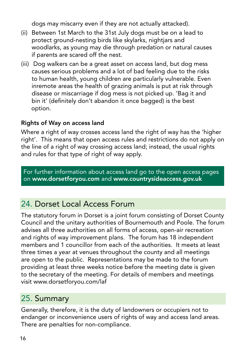dogs may miscarry even if they are not actually attacked).

- (ii) Between 1st March to the 31st July dogs must be on a lead to protect ground-nesting birds like skylarks, nightjars and woodlarks, as young may die through predation or natural causes if parents are scared off the nest.
- (iii) Dog walkers can be a great asset on access land, but dog mess causes serious problems and a lot of bad feeling due to the risks to human health, young children are particularly vulnerable. Even inremote areas the health of grazing animals is put at risk through disease or miscarriage if dog mess is not picked up. 'Bag it and bin it' (definitely don't abandon it once bagged) is the best option.

#### Rights of Way on access land

Where a right of way crosses access land the right of way has the 'higher right'. This means that open access rules and restrictions do not apply on the line of a right of way crossing access land; instead, the usual rights and rules for that type of right of way apply.

For further information about access land go to the open access pages on www.dorsetforyou.com and www.countrysideaccess.gov.uk

## 24. Dorset Local Access Forum

The statutory forum in Dorset is a joint forum consisting of Dorset County Council and the unitary authorities of Bournemouth and Poole. The forum advises all three authorities on all forms of access, open-air recreation and rights of way improvement plans. The forum has 18 independent members and 1 councillor from each of the authorities. It meets at least three times a year at venues throughout the county and all meetings are open to the public. Representations may be made to the forum providing at least three weeks notice before the meeting date is given to the secretary of the meeting. For details of members and meetings visit www.dorsetforyou.com/laf

## 25. Summary

Generally, therefore, it is the duty of landowners or occupiers not to endanger or inconvenience users of rights of way and access land areas. There are penalties for non-compliance.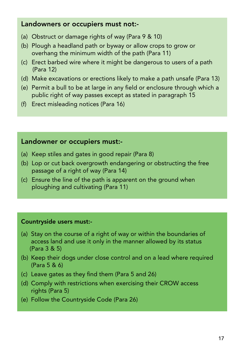#### Landowners or occupiers must not:-

- (a) Obstruct or damage rights of way (Para 9 & 10)
- (b) Plough a headland path or byway or allow crops to grow or overhang the minimum width of the path (Para 11)
- (c) Erect barbed wire where it might be dangerous to users of a path (Para 12)
- (d) Make excavations or erections likely to make a path unsafe (Para 13)
- (e) Permit a bull to be at large in any field or enclosure through which a public right of way passes except as stated in paragraph 15
- (f) Erect misleading notices (Para 16)

#### Landowner or occupiers must:-

- (a) Keep stiles and gates in good repair (Para 8)
- (b) Lop or cut back overgrowth endangering or obstructing the free passage of a right of way (Para 14)
- (c) Ensure the line of the path is apparent on the ground when ploughing and cultivating (Para 11)

#### Countryside users must:-

- (a) Stay on the course of a right of way or within the boundaries of access land and use it only in the manner allowed by its status (Para 3 & 5)
- (b) Keep their dogs under close control and on a lead where required (Para 5 & 6)
- (c) Leave gates as they find them (Para 5 and 26)
- (d) Comply with restrictions when exercising their CROW access rights (Para 5)
- (e) Follow the Countryside Code (Para 26)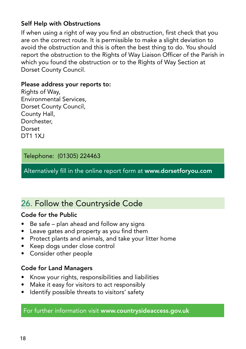#### Self Help with Obstructions

If when using a right of way you find an obstruction, first check that you are on the correct route. It is permissible to make a slight deviation to avoid the obstruction and this is often the best thing to do. You should report the obstruction to the Rights of Way Liaison Officer of the Parish in which you found the obstruction or to the Rights of Way Section at Dorset County Council.

#### Please address your reports to:

Rights of Way, Environmental Services, Dorset County Council, County Hall, Dorchester, Dorset DT1 1XJ

#### Telephone: (01305) 224463

Alternatively fill in the online report form at www.dorsetforyou.com

## 26. Follow the Countryside Code

#### Code for the Public

- Be safe plan ahead and follow any signs
- Leave gates and property as you find them
- Protect plants and animals, and take your litter home
- Keep dogs under close control
- Consider other people

#### Code for Land Managers

- Know your rights, responsibilities and liabilities
- Make it easy for visitors to act responsibly
- Identify possible threats to visitors' safety

For further information visit www.countrysideaccess.gov.uk